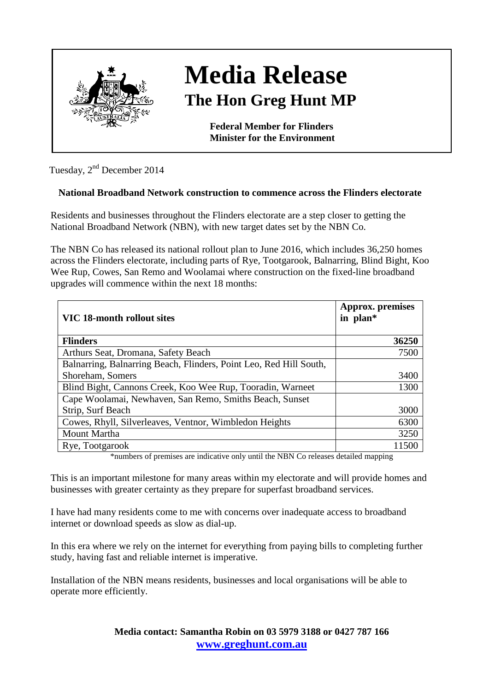

## **Media Release The Hon Greg Hunt MP**

**Federal Member for Flinders Minister for the Environment**

Tuesday, 2nd December 2014

## **National Broadband Network construction to commence across the Flinders electorate**

Residents and businesses throughout the Flinders electorate are a step closer to getting the National Broadband Network (NBN), with new target dates set by the NBN Co.

The NBN Co has released its national rollout plan to June 2016, which includes 36,250 homes across the Flinders electorate, including parts of Rye, Tootgarook, Balnarring, Blind Bight, Koo Wee Rup, Cowes, San Remo and Woolamai where construction on the fixed-line broadband upgrades will commence within the next 18 months:

| VIC 18-month rollout sites                                         | Approx. premises<br>in plan* |
|--------------------------------------------------------------------|------------------------------|
| <b>Flinders</b>                                                    | 36250                        |
| Arthurs Seat, Dromana, Safety Beach                                | 7500                         |
| Balnarring, Balnarring Beach, Flinders, Point Leo, Red Hill South, |                              |
| Shoreham, Somers                                                   | 3400                         |
| Blind Bight, Cannons Creek, Koo Wee Rup, Tooradin, Warneet         | 1300                         |
| Cape Woolamai, Newhaven, San Remo, Smiths Beach, Sunset            |                              |
| Strip, Surf Beach                                                  | 3000                         |
| Cowes, Rhyll, Silverleaves, Ventnor, Wimbledon Heights             | 6300                         |
| Mount Martha                                                       | 3250                         |
| Rye, Tootgarook                                                    | 11500                        |

\*numbers of premises are indicative only until the NBN Co releases detailed mapping

This is an important milestone for many areas within my electorate and will provide homes and businesses with greater certainty as they prepare for superfast broadband services.

I have had many residents come to me with concerns over inadequate access to broadband internet or download speeds as slow as dial-up.

In this era where we rely on the internet for everything from paying bills to completing further study, having fast and reliable internet is imperative.

Installation of the NBN means residents, businesses and local organisations will be able to operate more efficiently.

> **Media contact: Samantha Robin on 03 5979 3188 or 0427 787 166 [www.greghunt.com.au](http://www.greghunt.com.au/)**